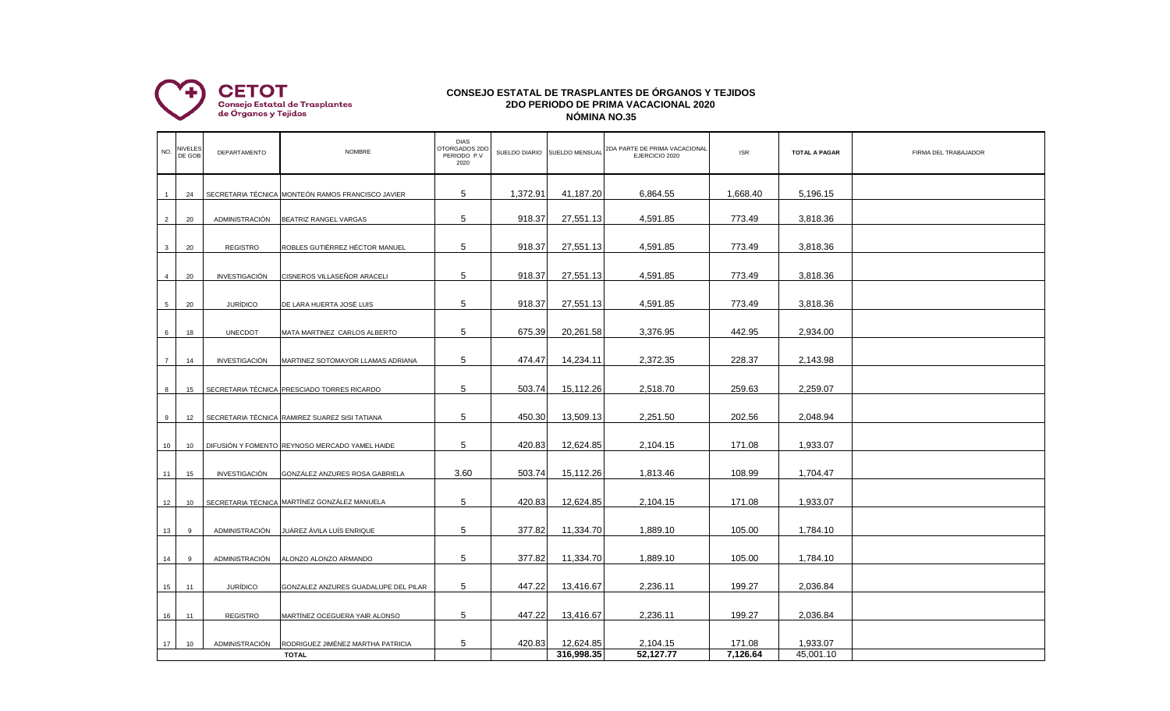

## **CONSEJO ESTATAL DE TRASPLANTES DE ÓRGANOS Y TEJIDOS 2DO PERIODO DE PRIMA VACACIONAL 2020 NÓMINA NO.35**

| 5<br>1,372.91<br>41,187.20<br>5,196.15<br>6,864.55<br>1,668.40<br>SECRETARIA TÉCNICA MONTEÓN RAMOS FRANCISCO JAVIER<br>24<br>5<br>918.37<br>27,551.13<br>4,591.85<br>773.49<br>3,818.36<br>$\overline{2}$<br>20<br>ADMINISTRACIÓN<br>BEATRIZ RANGEL VARGAS<br>5<br>918.37<br>27,551.13<br>4,591.85<br>773.49<br>3,818.36<br>ROBLES GUTIÉRREZ HÉCTOR MANUEL<br>$\mathbf{3}$<br>20<br><b>REGISTRO</b> |  |
|-----------------------------------------------------------------------------------------------------------------------------------------------------------------------------------------------------------------------------------------------------------------------------------------------------------------------------------------------------------------------------------------------------|--|
|                                                                                                                                                                                                                                                                                                                                                                                                     |  |
|                                                                                                                                                                                                                                                                                                                                                                                                     |  |
|                                                                                                                                                                                                                                                                                                                                                                                                     |  |
| 5<br>918.37<br>27,551.13<br>4,591.85<br>773.49<br>3,818.36<br>CISNEROS VILLASEÑOR ARACELI<br>20<br>INVESTIGACIÓN<br>$\overline{4}$                                                                                                                                                                                                                                                                  |  |
| 5<br>918.37<br>27,551.13<br>4,591.85<br>773.49<br>3,818.36<br><b>JURÍDICO</b><br>5 <sup>5</sup><br>20<br>DE LARA HUERTA JOSÉ LUIS                                                                                                                                                                                                                                                                   |  |
| 5<br>675.39<br>20,261.58<br>3,376.95<br>442.95<br>2,934.00<br>6<br><b>UNECDOT</b><br>18<br>MATA MARTINEZ CARLOS ALBERTO                                                                                                                                                                                                                                                                             |  |
| 5<br>474.47<br>14,234.11<br>2,372.35<br>228.37<br>2,143.98<br>$\overline{7}$<br><b>INVESTIGACIÓN</b><br>MARTINEZ SOTOMAYOR LLAMAS ADRIANA<br>14                                                                                                                                                                                                                                                     |  |
| 5<br>503.74<br>15,112.26<br>2,518.70<br>259.63<br>2,259.07<br>SECRETARIA TÉCNICA PRESCIADO TORRES RICARDO<br>8<br>15                                                                                                                                                                                                                                                                                |  |
| 5<br>450.30<br>13,509.13<br>2,251.50<br>202.56<br>2,048.94<br>SECRETARIA TÉCNICA RAMIREZ SUAREZ SISI TATIANA<br>9<br>12                                                                                                                                                                                                                                                                             |  |
| 5<br>420.83<br>12,624.85<br>2,104.15<br>171.08<br>1,933.07<br>DIFUSIÓN Y FOMENTO REYNOSO MERCADO YAMEL HAIDE<br>10<br>10                                                                                                                                                                                                                                                                            |  |
| 3.60<br>503.74<br>15,112.26<br>1,813.46<br>108.99<br>1,704.47                                                                                                                                                                                                                                                                                                                                       |  |
| INVESTIGACIÓN<br>GONZÁLEZ ANZURES ROSA GABRIELA<br>11<br>15                                                                                                                                                                                                                                                                                                                                         |  |
| MARTÍNEZ GONZÁLEZ MANUELA<br>5<br>420.83<br>12,624.85<br>2,104.15<br>171.08<br>1,933.07<br>SECRETARIA TÉCNICA<br>12<br>10                                                                                                                                                                                                                                                                           |  |
| 5<br>377.82<br>11,334.70<br>1,889.10<br>105.00<br>1,784.10<br>JUÁREZ ÁVILA LUÍS ENRIQUE<br>13<br>9<br><b>ADMINISTRACIÓN</b>                                                                                                                                                                                                                                                                         |  |
| 5<br>377.82<br>11,334.70<br>1,889.10<br>105.00<br>1,784.10<br>14<br><b>ADMINISTRACIÓN</b><br>ALONZO ALONZO ARMANDO<br>9                                                                                                                                                                                                                                                                             |  |
| 5<br>447.22<br>2,236.11<br>199.27<br>2,036.84<br>13,416.67<br><b>JURÍDICO</b><br>15<br>GONZALEZ ANZURES GUADALUPE DEL PILAR<br>11                                                                                                                                                                                                                                                                   |  |
| 5<br>447.22<br>2,236.11<br>199.27<br>2,036.84<br>13,416.67<br><b>REGISTRO</b><br>MARTÍNEZ OCEGUERA YAIR ALONSO<br>16<br>11                                                                                                                                                                                                                                                                          |  |
| 5<br>420.83<br>12,624.85<br>2,104.15<br>171.08<br>1,933.07<br>17<br>ADMINISTRACIÓN<br>RODRIGUEZ JIMÉNEZ MARTHA PATRICIA<br>10<br>316,998.35<br>52,127.77<br>7,126.64<br>45,001.10<br><b>TOTAL</b>                                                                                                                                                                                                   |  |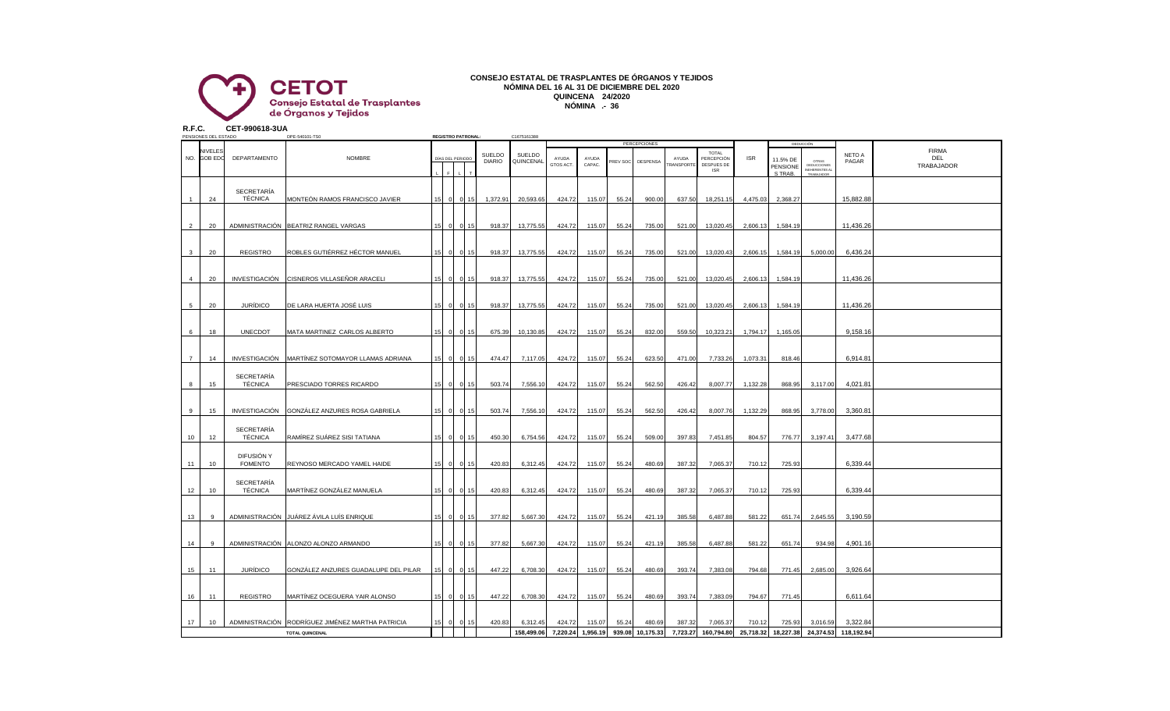

## **CONSEJO ESTATAL DE TRASPLANTES DE ÓRGANOS Y TEJIDOS NÓMINA DEL 16 AL 31 DE DICIEMBRE DEL 2020 QUINCENA 24/2020 NÓMINA .- 36**

**R.F.C. CET-990618-3UA**

|                | PENSIONES DEL ESTADO      |                              | DPE-540101-TS0                                   |                 |                | <b>REGISTRO PATRONAL:</b> |                                | C1675161388         |                    |                 |          |                                 |                           |                                                        |            |                                 |                                                                  |                 |                                   |
|----------------|---------------------------|------------------------------|--------------------------------------------------|-----------------|----------------|---------------------------|--------------------------------|---------------------|--------------------|-----------------|----------|---------------------------------|---------------------------|--------------------------------------------------------|------------|---------------------------------|------------------------------------------------------------------|-----------------|-----------------------------------|
| NO.            | NIVELES<br><b>GOB EDC</b> | DEPARTAMENTO                 | <b>NOMBRE</b>                                    |                 |                | DÍAS DEL PERIODO          | <b>SUELDO</b><br><b>DIARIO</b> | SUELDO<br>QUINCENAL | AYUDA<br>GTOS ACT. | AYUDA<br>CAPAC. | PREV SOC | <b>PERCEPCIONES</b><br>DESPENSA | AYUDA<br><b>FRANSPORT</b> | <b>TOTAL</b><br>PERCEPCIÓN<br>DESPUES DE<br><b>ISR</b> | <b>ISR</b> | 11.5% DE<br>PENSIONE<br>S TRAB. | <b>DEDUCCIÓN</b><br><b>OTRAS</b><br>DEDUCCIONES<br>INEHERENTES A | NETO A<br>PAGAR | <b>FIRMA</b><br>DEL<br>TRABAJADOR |
|                | 24                        | <b>SECRETARÍA</b><br>TÉCNICA | MONTEÓN RAMOS FRANCISCO JAVIER                   | 15 <sup>1</sup> | $\overline{0}$ | 0.15                      | 1,372.91                       | 20,593.65           | 424.72             | 115.07          | 55.24    | 900.00                          | 637.50                    | 18,251.15                                              | 4,475.03   | 2,368.27                        |                                                                  | 15,882.88       |                                   |
| $\overline{2}$ | 20                        |                              | ADMINISTRACIÓN BEATRIZ RANGEL VARGAS             |                 | - 01           |                           | 918.37                         | 13,775.55           | 424.72             | 115.07          | 55.24    | 735.00                          | 521.00                    | 13,020.45                                              | 2,606.13   | 1,584.19                        |                                                                  | 11,436.26       |                                   |
| $\mathbf{3}$   | 20                        | <b>REGISTRO</b>              | ROBLES GUTIÉRREZ HÉCTOR MANUEL                   |                 | $\Omega$       | 0115                      | 918.37                         | 13,775.55           | 424.72             | 115.07          | 55.24    | 735.00                          | 521.00                    | 13,020.43                                              | 2,606.15   | 1,584.19                        | 5,000.00                                                         | 6,436.24        |                                   |
| $\overline{4}$ | 20                        |                              | INVESTIGACIÓN CISNEROS VILLASEÑOR ARACELI        |                 | $\Omega$       |                           | 918.37                         | 13,775.55           | 424.72             | 115.07          | 55.24    | 735.00                          | 521.00                    | 13,020.45                                              | 2,606.13   | 1,584.19                        |                                                                  | 11,436.26       |                                   |
| 5              | 20                        | <b>JURÍDICO</b>              | DE LARA HUERTA JOSÉ LUIS                         |                 |                |                           | 918.37                         | 13,775.55           | 424.72             | 115.07          | 55.24    | 735.00                          | 521.00                    | 13,020.45                                              | 2,606.13   | 1,584.19                        |                                                                  | 11,436.26       |                                   |
| 6              | 18                        | <b>UNECDOT</b>               | MATA MARTINEZ CARLOS ALBERTO                     | 15 <sub>l</sub> | $\overline{0}$ |                           | 675.39                         | 10,130.85           | 424.72             | 115.07          | 55.24    | 832.00                          | 559.50                    | 10,323.21                                              | 1,794.17   | 1,165.05                        |                                                                  | 9,158.16        |                                   |
| $\overline{7}$ | 14                        |                              | INVESTIGACIÓN MARTÍNEZ SOTOMAYOR LLAMAS ADRIANA  | 15 <sup>1</sup> | $\overline{0}$ | 0 15                      | 474.47                         | 7,117.05            | 424.72             | 115.07          | 55.24    | 623.50                          | 471.00                    | 7,733.26                                               | 1,073.31   | 818.46                          |                                                                  | 6,914.81        |                                   |
| 8              | 15                        | <b>SECRETARÍA</b><br>TÉCNICA | PRESCIADO TORRES RICARDO                         | 15              | $\circ$        | 0 15                      | 503.74                         | 7,556.10            | 424.72             | 115.07          | 55.24    | 562.50                          | 426.42                    | 8,007.77                                               | 1,132.28   | 868.95                          | 3,117.00                                                         | 4,021.8'        |                                   |
| 9              | 15                        |                              | INVESTIGACIÓN GONZÁLEZ ANZURES ROSA GABRIELA     | 15 <sup>1</sup> | $\overline{0}$ | 0115                      | 503.74                         | 7,556.10            | 424.72             | 115.07          | 55.24    | 562.50                          | 426.42                    | 8,007.76                                               | 1,132.29   | 868.95                          | 3,778.00                                                         | 3,360.81        |                                   |
| 10             | 12                        | SECRETARÍA<br>TÉCNICA        | RAMÍREZ SUÁREZ SISI TATIANA                      | 15 <sup>1</sup> |                | 0 0 15                    | 450.30                         | 6,754.56            | 424.72             | 115.07          | 55.24    | 509.00                          | 397.83                    | 7,451.85                                               | 804.57     | 776.77                          | 3,197.41                                                         | 3,477.68        |                                   |
| 11             | 10                        | DIFUSIÓN Y<br><b>FOMENTO</b> | REYNOSO MERCADO YAMEL HAIDE                      | 15              | $\circ$        | 0 15                      | 420.83                         | 6,312.45            | 424.72             | 115.07          | 55.24    | 480.69                          | 387.32                    | 7,065.37                                               | 710.12     | 725.93                          |                                                                  | 6,339.44        |                                   |
| 12             | 10                        | SECRETARÍA<br>TÉCNICA        | MARTÍNEZ GONZÁLEZ MANUELA                        | 15              |                | 0 0 15                    | 420.83                         | 6,312.45            | 424.72             | 115.07          | 55.24    | 480.69                          | 387.32                    | 7,065.37                                               | 710.12     | 725.93                          |                                                                  | 6,339.44        |                                   |
| 13             | 9                         |                              | ADMINISTRACIÓN JUÁREZ ÁVILA LUÍS ENRIQUE         | 15              | $\overline{0}$ | 0.15                      | 377.82                         | 5,667.30            | 424.72             | 115.07          | 55.24    | 421.19                          | 385.58                    | 6,487.88                                               | 581.22     | 651.74                          | 2,645.55                                                         | 3,190.59        |                                   |
| 14             | 9                         |                              | ADMINISTRACIÓN ALONZO ALONZO ARMANDO             | 151             |                | 0 0 15                    | 377.82                         | 5,667.30            | 424.72             | 115.07          | 55.24    | 421.19                          | 385.58                    | 6,487.88                                               | 581.22     | 651.74                          | 934.98                                                           | 4,901.16        |                                   |
| 15             | 11                        | <b>JURÍDICO</b>              | GONZÁLEZ ANZURES GUADALUPE DEL PILAR             | 15 <sup>1</sup> | $\overline{0}$ | $0$ 15                    | 447.22                         | 6,708.30            | 424.72             | 115.07          | 55.24    | 480.69                          | 393.74                    | 7,383.08                                               | 794.68     | 771.45                          | 2,685.00                                                         | 3,926.64        |                                   |
| 16             | 11                        | REGISTRO                     | MARTÍNEZ OCEGUERA YAIR ALONSO                    |                 | $15 \quad 0$   | 0.15                      | 447.22                         | 6,708.30            | 424.72             | 115.07          | 55.24    | 480.69                          | 393.74                    | 7,383.09                                               | 794.67     | 771.45                          |                                                                  | 6,611.64        |                                   |
| 17             | 10                        |                              | ADMINISTRACIÓN RODRÍGUEZ JIMÉNEZ MARTHA PATRICIA | 15              | $\overline{0}$ |                           | 420.83                         | 6,312.45            | 424.72             | 115.07          | 55.24    | 480.69                          | 387.32                    | 7,065.37                                               | 710.12     | 725.93                          | 3,016.59                                                         | 3,322.84        |                                   |
|                |                           |                              | <b>TOTAL QUINCENAL</b>                           |                 |                |                           |                                | 158,499.06          | 7,220.24           | 1,956.19        |          | 939.08 10,175.33                |                           | 7,723.27 160,794.80                                    |            | 25,718.32 18,227.38             | 24,374.53                                                        | 118,192.94      |                                   |